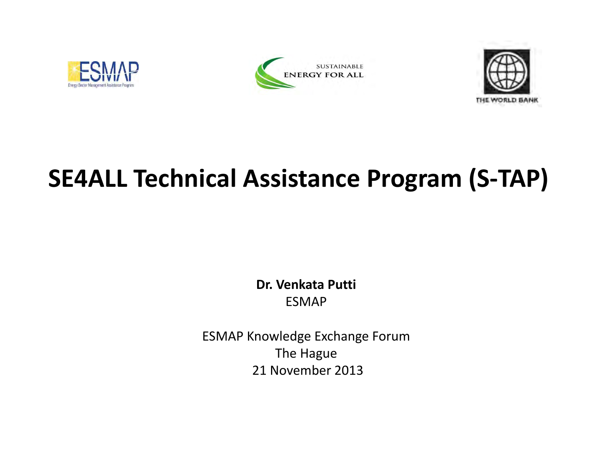





# **SE4ALL Technical Assistance Program (S‐TAP)**

**Dr. Venkata Putti** ESMAP

ESMAP Knowledge Exchange Forum The Hague 21 November 2013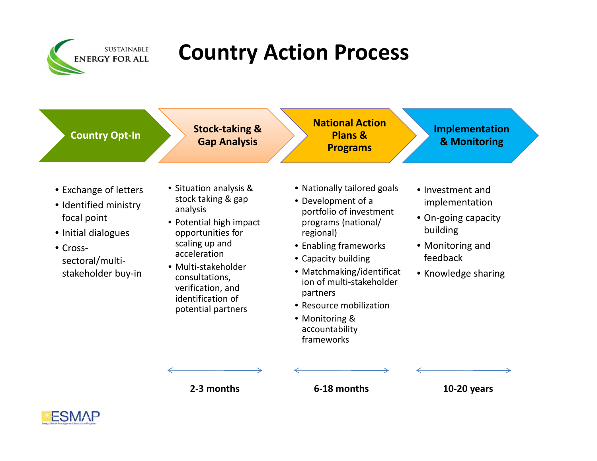

# **Country Action Process**



- Exchange of letters
- Identified ministry focal point
- Initial dialogues
- Cross‐ sectoral/multi‐ stakeholder buy‐in
- Situation analysis & stock taking & gap analysis
- Potential high impact opportunities for scaling up and acceleration
- Multi‐stakeholder consultations, verification, and identification of potential partners
- Nationally tailored goals
- Development of <sup>a</sup> portfolio of investment programs (national/ regional)
- Enabling frameworks
- Capacity building
- Matchmaking/identificat ion of multi‐stakeholder partners
- Resource mobilization
- Monitoring & accountability frameworks

• Investment andimplementation

- On‐going capacity building
- Monitoring and feedback
- Knowledge sharing

**2‐3**

**months 6‐18 months 10‐20 years**

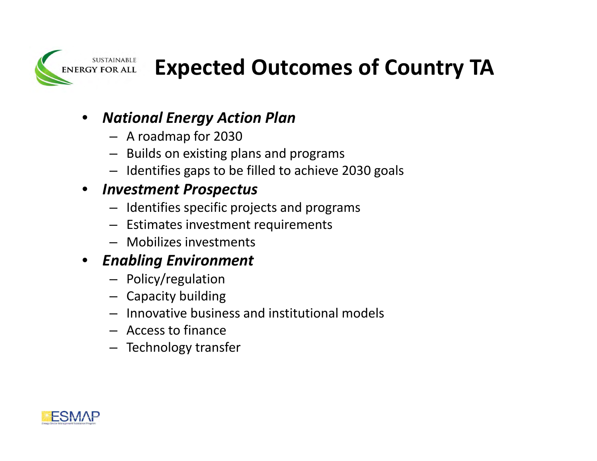

# **Expected Outcomes of Country TA**

### $\bullet$ *National Energy Action Plan*

- A roadmap for 2030
- Builds on existing plans and programs
- Identifies gaps to be filled to achieve 2030 goals

#### $\bullet$ *Investment Prospectus*

- Identifies specific projects and programs
- Estimates investment requirements
- Mobilizes investments

### $\bullet$ *Enabling Environment*

- Policy/regulation
- Capacity building
- Innovative business and institutional models
- Access to finance
- Technology transfer

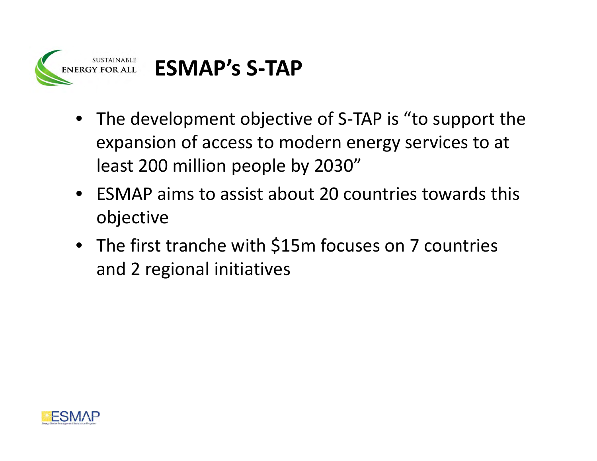

- The development objective of S‐TAP is "to support the expansion of access to modern energy services to at least 200 million people by 2030"
- ESMAP aims to assist about 20 countries towards this objective
- The first tranche with \$15m focuses on 7 countries and 2 regional initiatives

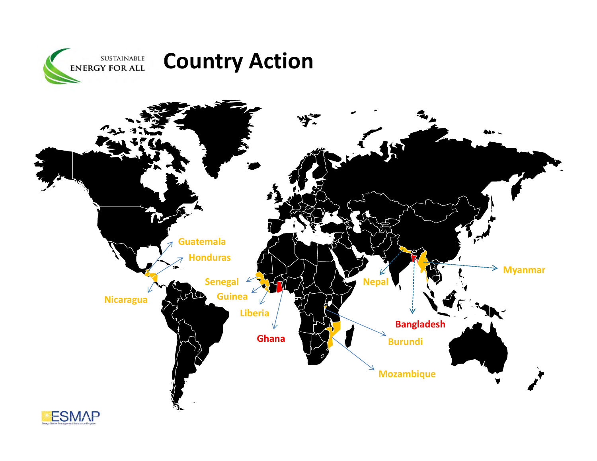



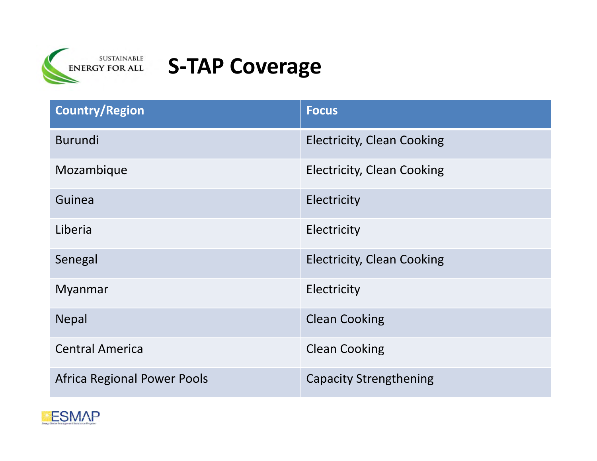

### **S‐TAP Coverage**

| <b>Country/Region</b>              | <b>Focus</b>                      |
|------------------------------------|-----------------------------------|
| <b>Burundi</b>                     | <b>Electricity, Clean Cooking</b> |
| Mozambique                         | <b>Electricity, Clean Cooking</b> |
| Guinea                             | Electricity                       |
| Liberia                            | Electricity                       |
| Senegal                            | <b>Electricity, Clean Cooking</b> |
| <b>Myanmar</b>                     | Electricity                       |
| <b>Nepal</b>                       | <b>Clean Cooking</b>              |
| <b>Central America</b>             | <b>Clean Cooking</b>              |
| <b>Africa Regional Power Pools</b> | <b>Capacity Strengthening</b>     |

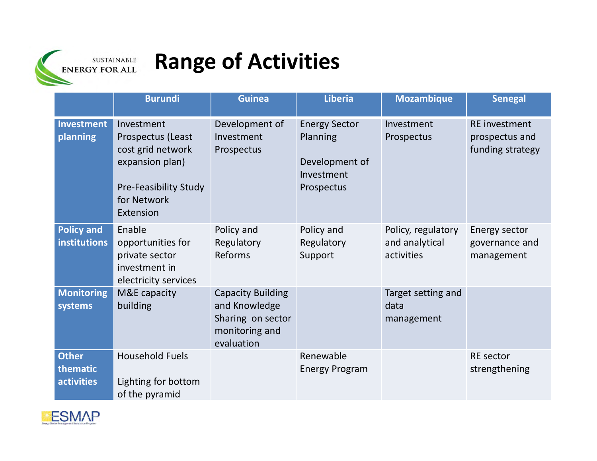

# **Range of Activities**

|                                        | <b>Burundi</b>                                                                                                               | <b>Guinea</b>                                                                                  | <b>Liberia</b>                                                                 | <b>Mozambique</b>                                  | <b>Senegal</b>                                             |
|----------------------------------------|------------------------------------------------------------------------------------------------------------------------------|------------------------------------------------------------------------------------------------|--------------------------------------------------------------------------------|----------------------------------------------------|------------------------------------------------------------|
| <b>Investment</b><br>planning          | Investment<br>Prospectus (Least<br>cost grid network<br>expansion plan)<br>Pre-Feasibility Study<br>for Network<br>Extension | Development of<br>Investment<br>Prospectus                                                     | <b>Energy Sector</b><br>Planning<br>Development of<br>Investment<br>Prospectus | Investment<br>Prospectus                           | <b>RE</b> investment<br>prospectus and<br>funding strategy |
| <b>Policy and</b><br>institutions      | Enable<br>opportunities for<br>private sector<br>investment in<br>electricity services                                       | Policy and<br>Regulatory<br>Reforms                                                            | Policy and<br>Regulatory<br>Support                                            | Policy, regulatory<br>and analytical<br>activities | Energy sector<br>governance and<br>management              |
| <b>Monitoring</b><br>systems           | M&E capacity<br>building                                                                                                     | <b>Capacity Building</b><br>and Knowledge<br>Sharing on sector<br>monitoring and<br>evaluation |                                                                                | Target setting and<br>data<br>management           |                                                            |
| <b>Other</b><br>thematic<br>activities | <b>Household Fuels</b><br>Lighting for bottom<br>of the pyramid                                                              |                                                                                                | Renewable<br><b>Energy Program</b>                                             |                                                    | <b>RE</b> sector<br>strengthening                          |

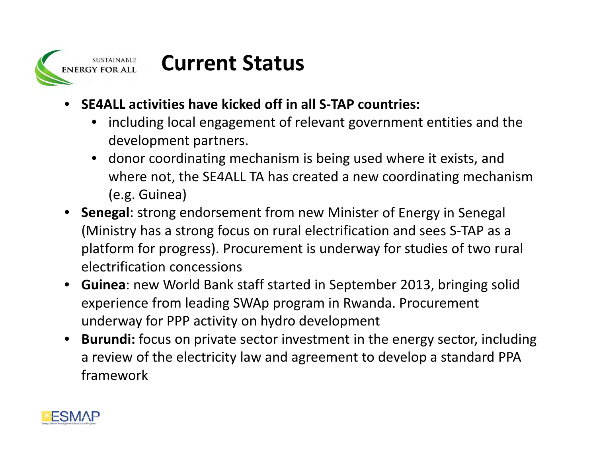

### **Current Status**

- **SE4ALL activities have kicked off in all S‐TAP countries:**
	- including local engagement of relevant government entities and the development partners.
	- donor coordinating mechanism is being used where it exists, and where not, the SE4ALL TA has created <sup>a</sup> new coordinating mechanism (e.g. Guinea)
- **Senegal**: strong endorsement from new Minister of Energy in Senegal (Ministry has <sup>a</sup> strong focus on rural electrification and sees S‐TAP as <sup>a</sup> platform for progress). Procurement is underway for studies of two rural electrification concessions
- **Guinea**: new World Bank staff started in September 2013, bringing solid experience from leading SWAp program in Rwanda. Procurement underway for PPP activity on hydro development
- **Burundi:** focus on private sector investment in the energy sector, including a review of the electricity law and agreement to develop <sup>a</sup> standard PPA framework